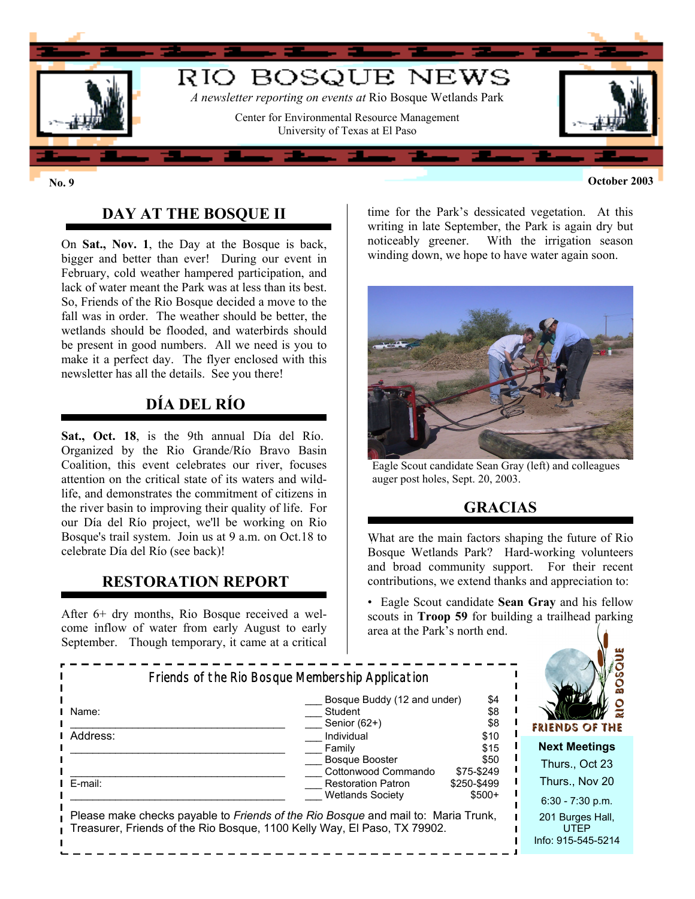

**No. 9 October 2003**

## **DAY AT THE BOSQUE II**

On **Sat., Nov. 1**, the Day at the Bosque is back, bigger and better than ever! During our event in February, cold weather hampered participation, and lack of water meant the Park was at less than its best. So, Friends of the Rio Bosque decided a move to the fall was in order. The weather should be better, the wetlands should be flooded, and waterbirds should be present in good numbers. All we need is you to make it a perfect day. The flyer enclosed with this newsletter has all the details. See you there!

# **DÍA DEL RÍO**

**Sat., Oct. 18**, is the 9th annual Día del Río. Organized by the Rio Grande/Río Bravo Basin Coalition, this event celebrates our river, focuses attention on the critical state of its waters and wildlife, and demonstrates the commitment of citizens in the river basin to improving their quality of life. For our Día del Río project, we'll be working on Rio Bosque's trail system. Join us at 9 a.m. on Oct.18 to celebrate Día del Río (see back)!

## **RESTORATION REPORT**

After 6+ dry months, Rio Bosque received a welcome inflow of water from early August to early September. Though temporary, it came at a critical time for the Park's dessicated vegetation. At this writing in late September, the Park is again dry but noticeably greener. With the irrigation season winding down, we hope to have water again soon.



Eagle Scout candidate Sean Gray (left) and colleagues auger post holes, Sept. 20, 2003.

# **GRACIAS**

What are the main factors shaping the future of Rio Bosque Wetlands Park? Hard-working volunteers and broad community support. For their recent contributions, we extend thanks and appreciation to:

• Eagle Scout candidate **Sean Gray** and his fellow scouts in **Troop 59** for building a trailhead parking area at the Park's north end.

| Friends of the Rio Bosque Membership Application                                                                                                              |                                                                      |                                    |                                                       |
|---------------------------------------------------------------------------------------------------------------------------------------------------------------|----------------------------------------------------------------------|------------------------------------|-------------------------------------------------------|
| l Name:                                                                                                                                                       | Bosque Buddy (12 and under)<br>Student<br>Senior $(62+)$             | \$4<br>\$8<br>\$8                  | FRIENDS OF THE                                        |
| Address:                                                                                                                                                      | Individual<br>Family<br><b>Bosque Booster</b><br>Cottonwood Commando | \$10<br>\$15<br>\$50<br>\$75-\$249 | <b>Next Meetings</b><br>Thurs., Oct 23                |
| I E-mail:                                                                                                                                                     | <b>Restoration Patron</b><br><b>Wetlands Society</b>                 | \$250-\$499<br>$$500+$             | Thurs., Nov 20<br>$6:30 - 7:30$ p.m.                  |
| Please make checks payable to Friends of the Rio Bosque and mail to: Maria Trunk,<br>Treasurer, Friends of the Rio Bosque, 1100 Kelly Way, El Paso, TX 79902. |                                                                      |                                    | 201 Burges Hall,<br><b>UTFP</b><br>Info: 915-545-5214 |